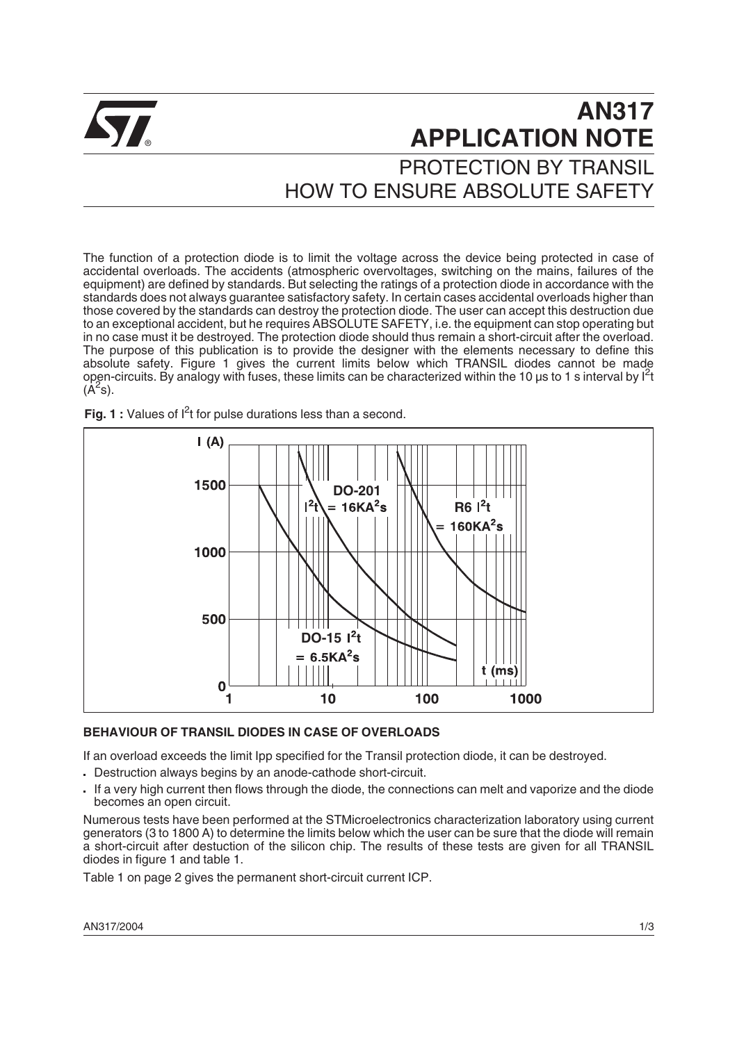

# **AN317 Sy APPLICATION NOTE** PROTECTION BY TRANSIL HOW TO ENSURE ABSOLUTE SAFETY

The function of a protection diode is to limit the voltage across the device being protected in case of accidental overloads. The accidents (atmospheric overvoltages, switching on the mains, failures of the equipment) are defined by standards. But selecting the ratings of a protection diode in accordance with the standards does not always guarantee satisfactory safety. In certain cases accidental overloads higher than those covered by the standards can destroy the protection diode. The user can accept this destruction due to an exceptional accident, but he requires ABSOLUTE SAFETY, i.e. the equipment can stop operating but in no case must it be destroyed. The protection diode should thus remain a short-circuit after the overload. The purpose of this publication is to provide the designer with the elements necessary to define this absolute safety. Figure 1 gives the current limits below which TRANSIL diodes cannot be made open-circuits. By analogy with fuses, these limits can be characterized within the 10  $\mu$ s to 1 s interval by  $I^2$ t  $(A<sup>2</sup>s).$ 



Fig. 1 : Values of l<sup>2</sup>t for pulse durations less than a second.

# **BEHAVIOUR OF TRANSIL DIODES IN CASE OF OVERLOADS**

If an overload exceeds the limit Ipp specified for the Transil protection diode, it can be destroyed.

- Destruction always begins by an anode-cathode short-circuit.
- If a very high current then flows through the diode, the connections can melt and vaporize and the diode becomes an open circuit.

Numerous tests have been performed at the STMicroelectronics characterization laboratory using current generators (3 to 1800 A) to determine the limits below which the user can be sure that the diode will remain a short-circuit after destuction of the silicon chip. The results of these tests are given for all TRANSIL diodes in figure 1 and table 1.

Table 1 on page 2 gives the permanent short-circuit current ICP.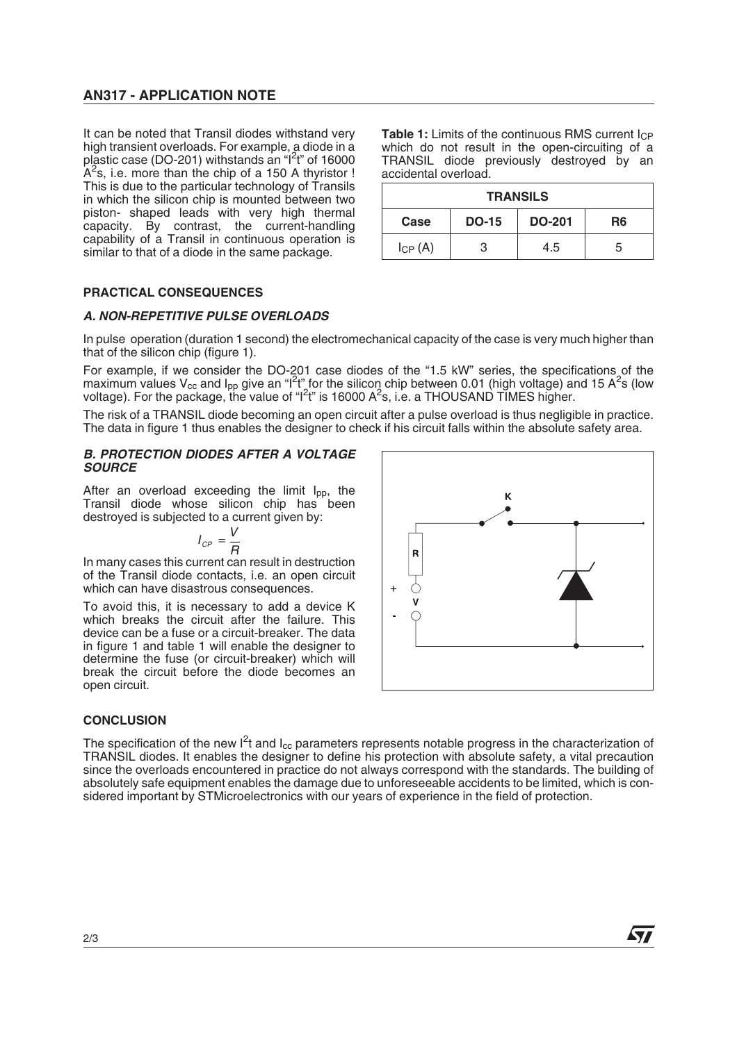# **AN317 - APPLICATION NOTE**

It can be noted that Transil diodes withstand very high transient overloads. For example, a diode in a<br>plastic case (DO-201) withstands an "I<sup>2</sup>t" of 16000  $A<sup>2</sup>$ s, i.e. more than the chip of a 150 A thyristor ! This is due to the particular technology of Transils in which the silicon chip is mounted between two piston- shaped leads with very high thermal capacity. By contrast, the current-handling capability of a Transil in continuous operation is similar to that of a diode in the same package.

**Table 1:** Limits of the continuous RMS current  $1_{CP}$ which do not result in the open-circuiting of a TRANSIL diode previously destroyed by an accidental overload.

| <b>TRANSILS</b>    |              |               |    |
|--------------------|--------------|---------------|----|
| Case               | <b>DO-15</b> | <b>DO-201</b> | R6 |
| $I_{\text{CP}}(A)$ | з            | 4.5           | 5  |

## **PRACTICAL CONSEQUENCES**

## **A. NON-REPETITIVE PULSE OVERLOADS**

In pulse operation (duration 1 second) the electromechanical capacity of the case is very much higher than that of the silicon chip (figure 1).

For example, if we consider the DO-201 case diodes of the "1.5 kW" series, the specifications of the maximum values V<sub>cc</sub> and I<sub>pp</sub> give an "I<sup>2</sup>t" for the silicon chip between 0.01 (high voltage) and 15 A<sup>2</sup>s (low<br>voltage). For the package, the value of "I<sup>2</sup>t" is 16000 A<sup>2</sup>s, i.e. a THOUSAND TIMES higher.

The risk of a TRANSIL diode becoming an open circuit after a pulse overload is thus negligible in practice. The data in figure 1 thus enables the designer to check if his circuit falls within the absolute safety area.

#### **B. PROTECTION DIODES AFTER A VOLTAGE SOURCE**

After an overload exceeding the limit  $I_{\text{pp}}$ , the Transil diode whose silicon chip has been destroyed is subjected to a current given by:

$$
I_{\scriptscriptstyle CP} = \frac{V}{R}
$$

In many cases this current can result in destruction of the Transil diode contacts, i.e. an open circuit which can have disastrous consequences.

To avoid this, it is necessary to add a device K which breaks the circuit after the failure. This device can be a fuse or a circuit-breaker. The data in figure 1 and table 1 will enable the designer to determine the fuse (or circuit-breaker) which will break the circuit before the diode becomes an open circuit.



**AV** 

### **CONCLUSION**

The specification of the new  $I^2$ t and I<sub>cc</sub> parameters represents notable progress in the characterization of TRANSIL diodes. It enables the designer to define his protection with absolute safety, a vital precaution since the overloads encountered in practice do not always correspond with the standards. The building of absolutely safe equipment enables the damage due to unforeseeable accidents to be limited, which is considered important by STMicroelectronics with our years of experience in the field of protection.